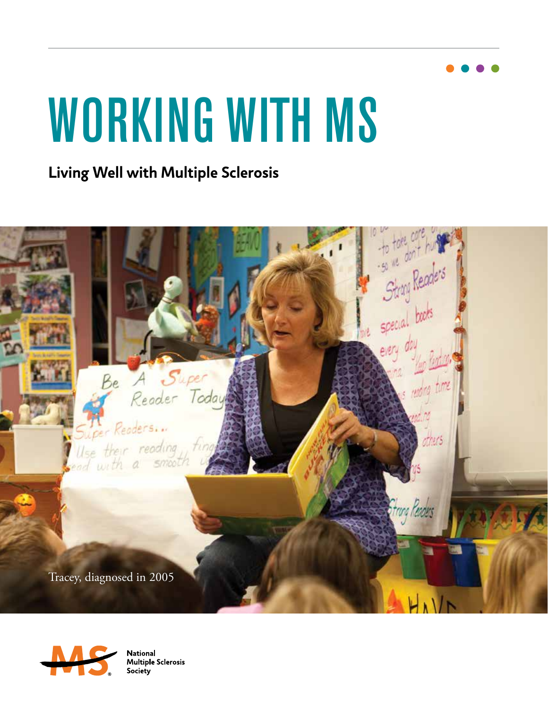

# working with ms

**Living Well with Multiple Sclerosis**





**National Multiple Sclerosis** Society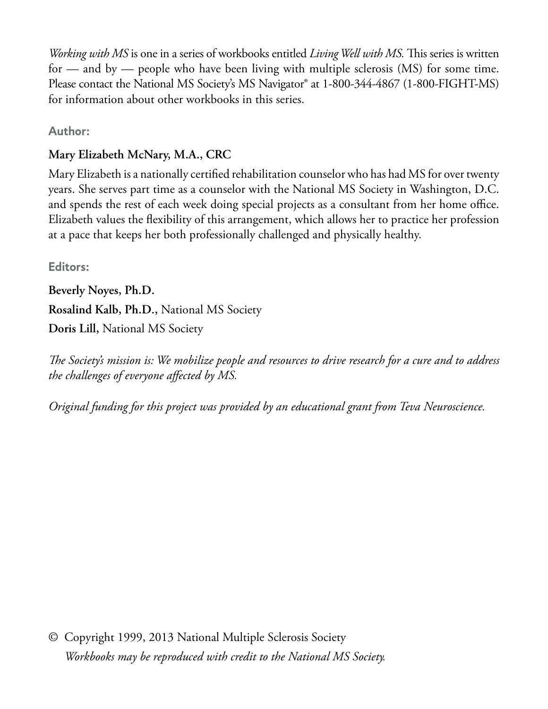*Working with MS* is one in a series of workbooks entitled *Living Well with MS.* This series is written for — and by — people who have been living with multiple sclerosis (MS) for some time. Please contact the National MS Society's MS Navigator® at 1-800-344-4867 (1-800-FIGHT-MS) for information about other workbooks in this series.

**Author:** 

#### **Mary Elizabeth McNary, M.A., CRC**

Mary Elizabeth is a nationally certified rehabilitation counselor who has had MS for over twenty years. She serves part time as a counselor with the National MS Society in Washington, D.C. and spends the rest of each week doing special projects as a consultant from her home office. Elizabeth values the flexibility of this arrangement, which allows her to practice her profession at a pace that keeps her both professionally challenged and physically healthy.

**Editors:**

**Beverly Noyes, Ph.D. Rosalind Kalb, Ph.D.,** National MS Society **Doris Lill,** National MS Society

*The Society's mission is: We mobilize people and resources to drive research for a cure and to address the challenges of everyone affected by MS.*

*Original funding for this project was provided by an educational grant from Teva Neuroscience.*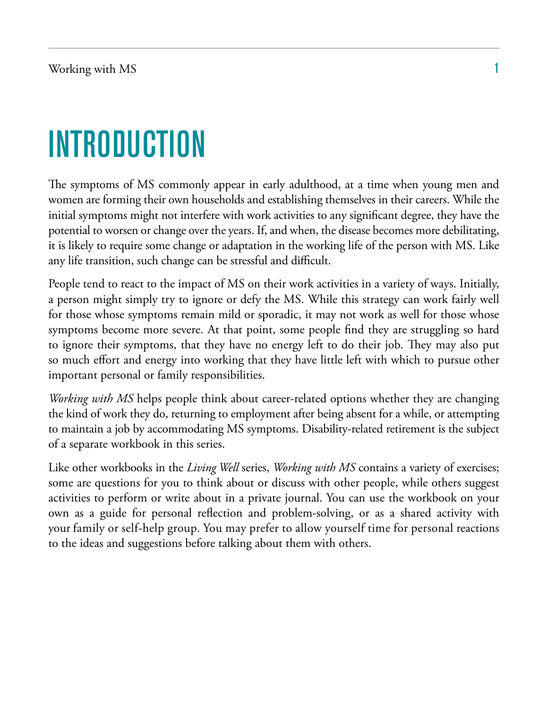# Introduction

The symptoms of MS commonly appear in early adulthood, at a time when young men and women are forming their own households and establishing themselves in their careers. While the initial symptoms might not interfere with work activities to any significant degree, they have the potential to worsen or change over the years. If, and when, the disease becomes more debilitating, it is likely to require some change or adaptation in the working life of the person with MS. Like any life transition, such change can be stressful and difficult.

People tend to react to the impact of MS on their work activities in a variety of ways. Initially, a person might simply try to ignore or defy the MS. While this strategy can work fairly well for those whose symptoms remain mild or sporadic, it may not work as well for those whose symptoms become more severe. At that point, some people find they are struggling so hard to ignore their symptoms, that they have no energy left to do their job. They may also put so much effort and energy into working that they have little left with which to pursue other important personal or family responsibilities.

*Working with MS* helps people think about career-related options whether they are changing the kind of work they do, returning to employment after being absent for a while, or attempting to maintain a job by accommodating MS symptoms. Disability-related retirement is the subject of a separate workbook in this series.

Like other workbooks in the *Living Well* series, *Working with MS* contains a variety of exercises; some are questions for you to think about or discuss with other people, while others suggest activities to perform or write about in a private journal. You can use the workbook on your own as a guide for personal reflection and problem-solving, or as a shared activity with your family or self-help group. You may prefer to allow yourself time for personal reactions to the ideas and suggestions before talking about them with others.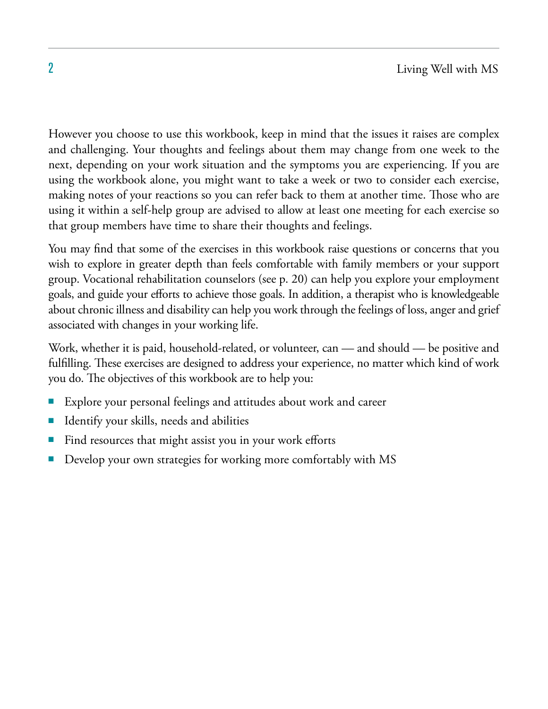However you choose to use this workbook, keep in mind that the issues it raises are complex and challenging. Your thoughts and feelings about them may change from one week to the next, depending on your work situation and the symptoms you are experiencing. If you are using the workbook alone, you might want to take a week or two to consider each exercise, making notes of your reactions so you can refer back to them at another time. Those who are using it within a self-help group are advised to allow at least one meeting for each exercise so that group members have time to share their thoughts and feelings.

You may find that some of the exercises in this workbook raise questions or concerns that you wish to explore in greater depth than feels comfortable with family members or your support group. Vocational rehabilitation counselors (see p. 20) can help you explore your employment goals, and guide your efforts to achieve those goals. In addition, a therapist who is knowledgeable about chronic illness and disability can help you work through the feelings of loss, anger and grief associated with changes in your working life.

Work, whether it is paid, household-related, or volunteer, can — and should — be positive and fulfilling. These exercises are designed to address your experience, no matter which kind of work you do. The objectives of this workbook are to help you:

- Explore your personal feelings and attitudes about work and career
- Identify your skills, needs and abilities
- Find resources that might assist you in your work efforts
- Develop your own strategies for working more comfortably with MS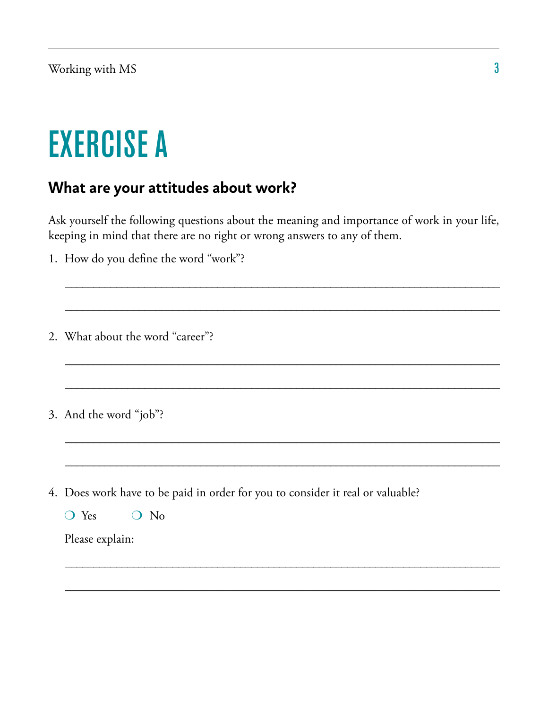# Exercise A

### **What are your attitudes about work?**

Ask yourself the following questions about the meaning and importance of work in your life, keeping in mind that there are no right or wrong answers to any of them.

\_\_\_\_\_\_\_\_\_\_\_\_\_\_\_\_\_\_\_\_\_\_\_\_\_\_\_\_\_\_\_\_\_\_\_\_\_\_\_\_\_\_\_\_\_\_\_\_\_\_\_\_\_\_\_\_\_\_\_\_\_\_\_\_\_\_\_\_\_\_\_\_\_\_\_\_\_

\_\_\_\_\_\_\_\_\_\_\_\_\_\_\_\_\_\_\_\_\_\_\_\_\_\_\_\_\_\_\_\_\_\_\_\_\_\_\_\_\_\_\_\_\_\_\_\_\_\_\_\_\_\_\_\_\_\_\_\_\_\_\_\_\_\_\_\_\_\_\_\_\_\_\_\_\_

\_\_\_\_\_\_\_\_\_\_\_\_\_\_\_\_\_\_\_\_\_\_\_\_\_\_\_\_\_\_\_\_\_\_\_\_\_\_\_\_\_\_\_\_\_\_\_\_\_\_\_\_\_\_\_\_\_\_\_\_\_\_\_\_\_\_\_\_\_\_\_\_\_\_\_\_\_

\_\_\_\_\_\_\_\_\_\_\_\_\_\_\_\_\_\_\_\_\_\_\_\_\_\_\_\_\_\_\_\_\_\_\_\_\_\_\_\_\_\_\_\_\_\_\_\_\_\_\_\_\_\_\_\_\_\_\_\_\_\_\_\_\_\_\_\_\_\_\_\_\_\_\_\_\_

\_\_\_\_\_\_\_\_\_\_\_\_\_\_\_\_\_\_\_\_\_\_\_\_\_\_\_\_\_\_\_\_\_\_\_\_\_\_\_\_\_\_\_\_\_\_\_\_\_\_\_\_\_\_\_\_\_\_\_\_\_\_\_\_\_\_\_\_\_\_\_\_\_\_\_\_\_

\_\_\_\_\_\_\_\_\_\_\_\_\_\_\_\_\_\_\_\_\_\_\_\_\_\_\_\_\_\_\_\_\_\_\_\_\_\_\_\_\_\_\_\_\_\_\_\_\_\_\_\_\_\_\_\_\_\_\_\_\_\_\_\_\_\_\_\_\_\_\_\_\_\_\_\_\_

\_\_\_\_\_\_\_\_\_\_\_\_\_\_\_\_\_\_\_\_\_\_\_\_\_\_\_\_\_\_\_\_\_\_\_\_\_\_\_\_\_\_\_\_\_\_\_\_\_\_\_\_\_\_\_\_\_\_\_\_\_\_\_\_\_\_\_\_\_\_\_\_\_\_\_\_\_

\_\_\_\_\_\_\_\_\_\_\_\_\_\_\_\_\_\_\_\_\_\_\_\_\_\_\_\_\_\_\_\_\_\_\_\_\_\_\_\_\_\_\_\_\_\_\_\_\_\_\_\_\_\_\_\_\_\_\_\_\_\_\_\_\_\_\_\_\_\_\_\_\_\_\_\_\_

1. How do you define the word "work"?

2. What about the word "career"?

3. And the word "job"?

4. Does work have to be paid in order for you to consider it real or valuable?

 $\bigcirc$  Yes  $\bigcirc$  No

Please explain: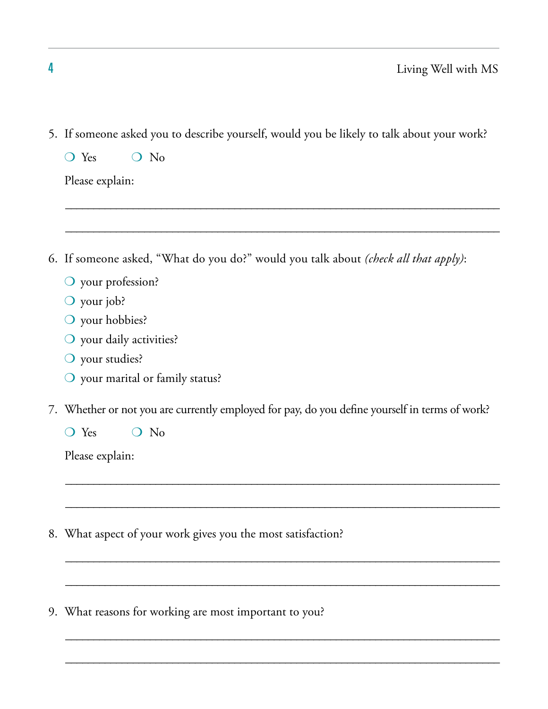5. If someone asked you to describe yourself, would you be likely to talk about your work?

\_\_\_\_\_\_\_\_\_\_\_\_\_\_\_\_\_\_\_\_\_\_\_\_\_\_\_\_\_\_\_\_\_\_\_\_\_\_\_\_\_\_\_\_\_\_\_\_\_\_\_\_\_\_\_\_\_\_\_\_\_\_\_\_\_\_\_\_\_\_\_\_\_\_\_\_\_

\_\_\_\_\_\_\_\_\_\_\_\_\_\_\_\_\_\_\_\_\_\_\_\_\_\_\_\_\_\_\_\_\_\_\_\_\_\_\_\_\_\_\_\_\_\_\_\_\_\_\_\_\_\_\_\_\_\_\_\_\_\_\_\_\_\_\_\_\_\_\_\_\_\_\_\_\_

 $\bigcirc$  Yes  $\bigcirc$  No

Please explain:

- 6. If someone asked, "What do you do?" would you talk about *(check all that apply)*:
	- O your profession?
	- $\bigcirc$  your job?
	- $\bigcirc$  your hobbies?
	- $\bigcirc$  your daily activities?
	- $\bigcirc$  your studies?
	- $\bigcirc$  your marital or family status?
- 7. Whether or not you are currently employed for pay, do you define yourself in terms of work?

\_\_\_\_\_\_\_\_\_\_\_\_\_\_\_\_\_\_\_\_\_\_\_\_\_\_\_\_\_\_\_\_\_\_\_\_\_\_\_\_\_\_\_\_\_\_\_\_\_\_\_\_\_\_\_\_\_\_\_\_\_\_\_\_\_\_\_\_\_\_\_\_\_\_\_\_\_

\_\_\_\_\_\_\_\_\_\_\_\_\_\_\_\_\_\_\_\_\_\_\_\_\_\_\_\_\_\_\_\_\_\_\_\_\_\_\_\_\_\_\_\_\_\_\_\_\_\_\_\_\_\_\_\_\_\_\_\_\_\_\_\_\_\_\_\_\_\_\_\_\_\_\_\_\_

\_\_\_\_\_\_\_\_\_\_\_\_\_\_\_\_\_\_\_\_\_\_\_\_\_\_\_\_\_\_\_\_\_\_\_\_\_\_\_\_\_\_\_\_\_\_\_\_\_\_\_\_\_\_\_\_\_\_\_\_\_\_\_\_\_\_\_\_\_\_\_\_\_\_\_\_\_

\_\_\_\_\_\_\_\_\_\_\_\_\_\_\_\_\_\_\_\_\_\_\_\_\_\_\_\_\_\_\_\_\_\_\_\_\_\_\_\_\_\_\_\_\_\_\_\_\_\_\_\_\_\_\_\_\_\_\_\_\_\_\_\_\_\_\_\_\_\_\_\_\_\_\_\_\_

\_\_\_\_\_\_\_\_\_\_\_\_\_\_\_\_\_\_\_\_\_\_\_\_\_\_\_\_\_\_\_\_\_\_\_\_\_\_\_\_\_\_\_\_\_\_\_\_\_\_\_\_\_\_\_\_\_\_\_\_\_\_\_\_\_\_\_\_\_\_\_\_\_\_\_\_\_

\_\_\_\_\_\_\_\_\_\_\_\_\_\_\_\_\_\_\_\_\_\_\_\_\_\_\_\_\_\_\_\_\_\_\_\_\_\_\_\_\_\_\_\_\_\_\_\_\_\_\_\_\_\_\_\_\_\_\_\_\_\_\_\_\_\_\_\_\_\_\_\_\_\_\_\_\_

 $\bigcirc$  Yes  $\bigcirc$  No

Please explain:

- 8. What aspect of your work gives you the most satisfaction?
- 9. What reasons for working are most important to you?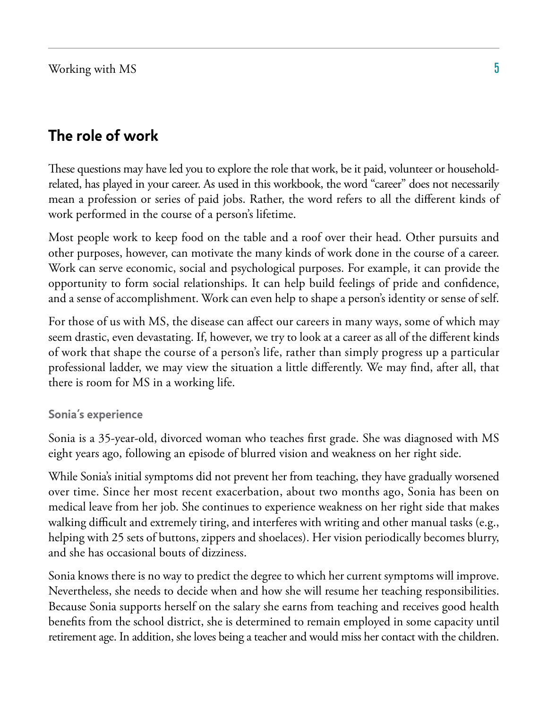### **The role of work**

These questions may have led you to explore the role that work, be it paid, volunteer or householdrelated, has played in your career. As used in this workbook, the word "career" does not necessarily mean a profession or series of paid jobs. Rather, the word refers to all the different kinds of work performed in the course of a person's lifetime.

Most people work to keep food on the table and a roof over their head. Other pursuits and other purposes, however, can motivate the many kinds of work done in the course of a career. Work can serve economic, social and psychological purposes. For example, it can provide the opportunity to form social relationships. It can help build feelings of pride and confidence, and a sense of accomplishment. Work can even help to shape a person's identity or sense of self.

For those of us with MS, the disease can affect our careers in many ways, some of which may seem drastic, even devastating. If, however, we try to look at a career as all of the different kinds of work that shape the course of a person's life, rather than simply progress up a particular professional ladder, we may view the situation a little differently. We may find, after all, that there is room for MS in a working life.

#### **Sonia's experience**

Sonia is a 35-year-old, divorced woman who teaches first grade. She was diagnosed with MS eight years ago, following an episode of blurred vision and weakness on her right side.

While Sonia's initial symptoms did not prevent her from teaching, they have gradually worsened over time. Since her most recent exacerbation, about two months ago, Sonia has been on medical leave from her job. She continues to experience weakness on her right side that makes walking difficult and extremely tiring, and interferes with writing and other manual tasks (e.g., helping with 25 sets of buttons, zippers and shoelaces). Her vision periodically becomes blurry, and she has occasional bouts of dizziness.

Sonia knows there is no way to predict the degree to which her current symptoms will improve. Nevertheless, she needs to decide when and how she will resume her teaching responsibilities. Because Sonia supports herself on the salary she earns from teaching and receives good health benefits from the school district, she is determined to remain employed in some capacity until retirement age. In addition, she loves being a teacher and would miss her contact with the children.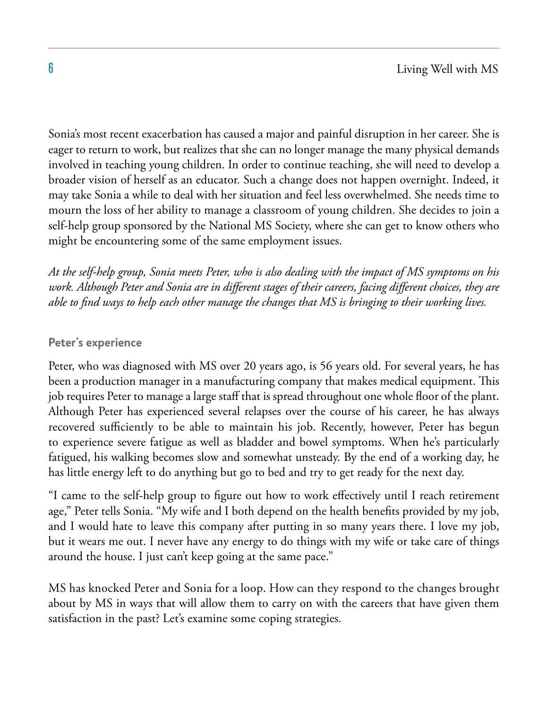Sonia's most recent exacerbation has caused a major and painful disruption in her career. She is eager to return to work, but realizes that she can no longer manage the many physical demands involved in teaching young children. In order to continue teaching, she will need to develop a broader vision of herself as an educator. Such a change does not happen overnight. Indeed, it may take Sonia a while to deal with her situation and feel less overwhelmed. She needs time to mourn the loss of her ability to manage a classroom of young children. She decides to join a self-help group sponsored by the National MS Society, where she can get to know others who might be encountering some of the same employment issues.

*At the self-help group, Sonia meets Peter, who is also dealing with the impact of MS symptoms on his work. Although Peter and Sonia are in different stages of their careers, facing different choices, they are able to find ways to help each other manage the changes that MS is bringing to their working lives.*

#### **Peter's experience**

Peter, who was diagnosed with MS over 20 years ago, is 56 years old. For several years, he has been a production manager in a manufacturing company that makes medical equipment. This job requires Peter to manage a large staff that is spread throughout one whole floor of the plant. Although Peter has experienced several relapses over the course of his career, he has always recovered sufficiently to be able to maintain his job. Recently, however, Peter has begun to experience severe fatigue as well as bladder and bowel symptoms. When he's particularly fatigued, his walking becomes slow and somewhat unsteady. By the end of a working day, he has little energy left to do anything but go to bed and try to get ready for the next day.

"I came to the self-help group to figure out how to work effectively until I reach retirement age," Peter tells Sonia. "My wife and I both depend on the health benefits provided by my job, and I would hate to leave this company after putting in so many years there. I love my job, but it wears me out. I never have any energy to do things with my wife or take care of things around the house. I just can't keep going at the same pace."

MS has knocked Peter and Sonia for a loop. How can they respond to the changes brought about by MS in ways that will allow them to carry on with the careers that have given them satisfaction in the past? Let's examine some coping strategies.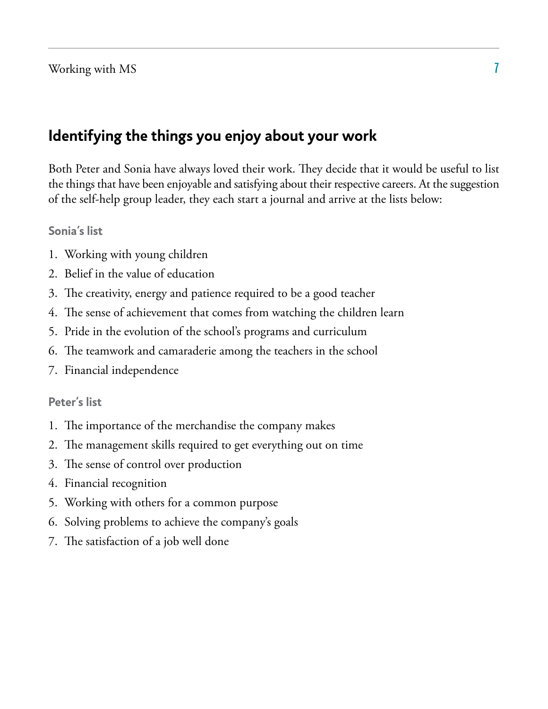### **Identifying the things you enjoy about your work**

Both Peter and Sonia have always loved their work. They decide that it would be useful to list the things that have been enjoyable and satisfying about their respective careers. At the suggestion of the self-help group leader, they each start a journal and arrive at the lists below:

#### **Sonia's list**

- 1. Working with young children
- 2. Belief in the value of education
- 3. The creativity, energy and patience required to be a good teacher
- 4. The sense of achievement that comes from watching the children learn
- 5. Pride in the evolution of the school's programs and curriculum
- 6. The teamwork and camaraderie among the teachers in the school
- 7. Financial independence

#### **Peter's list**

- 1. The importance of the merchandise the company makes
- 2. The management skills required to get everything out on time
- 3. The sense of control over production
- 4. Financial recognition
- 5. Working with others for a common purpose
- 6. Solving problems to achieve the company's goals
- 7. The satisfaction of a job well done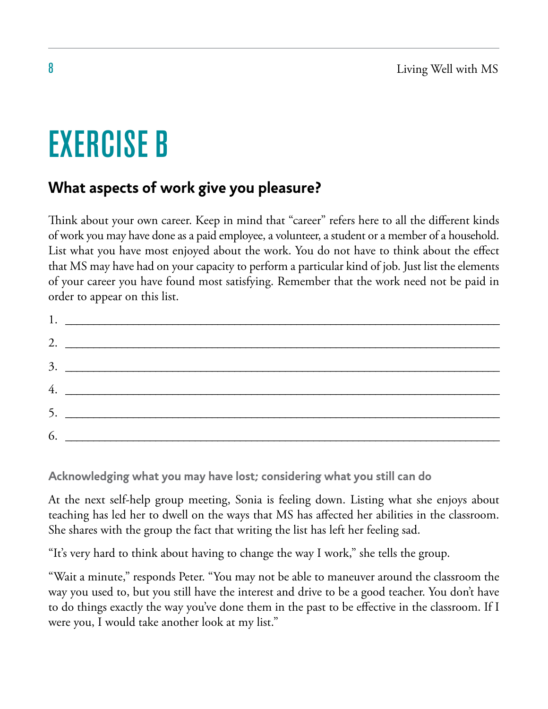# <span id="page-9-0"></span>Exercise B

# **What aspects of work give you pleasure?**

Think about your own career. Keep in mind that "career" refers here to all the different kinds of work you may have done as a paid employee, a volunteer, a student or a member of a household. List what you have most enjoyed about the work. You do not have to think about the effect that MS may have had on your capacity to perform a particular kind of job. Just list the elements of your career you have found most satisfying. Remember that the work need not be paid in order to appear on this list.

| 2. $\qquad \qquad$ |
|--------------------|
|                    |
| 4.                 |
|                    |
|                    |
|                    |

**Acknowledging what you may have lost; considering what you still can do**

At the next self-help group meeting, Sonia is feeling down. Listing what she enjoys about teaching has led her to dwell on the ways that MS has affected her abilities in the classroom. She shares with the group the fact that writing the list has left her feeling sad.

"It's very hard to think about having to change the way I work," she tells the group.

"Wait a minute," responds Peter. "You may not be able to maneuver around the classroom the way you used to, but you still have the interest and drive to be a good teacher. You don't have to do things exactly the way you've done them in the past to be effective in the classroom. If I were you, I would take another look at my list."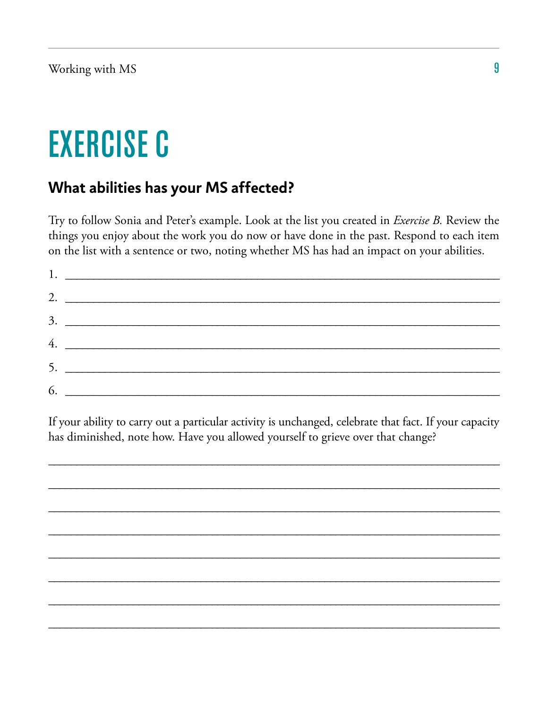# **EXERCISE C**

# What abilities has your MS affected?

Try to follow Sonia and Peter's example. Look at the list you created in *Exercise B*. Review the things you enjoy about the work you do now or have done in the past. Respond to each item on the list with a sentence or two, noting whether MS has had an impact on your abilities.

| 3.                          |
|-----------------------------|
| 4. $\overline{\phantom{a}}$ |
|                             |
|                             |

If your ability to carry out a particular activity is unchanged, celebrate that fact. If your capacity has diminished, note how. Have you allowed yourself to grieve over that change?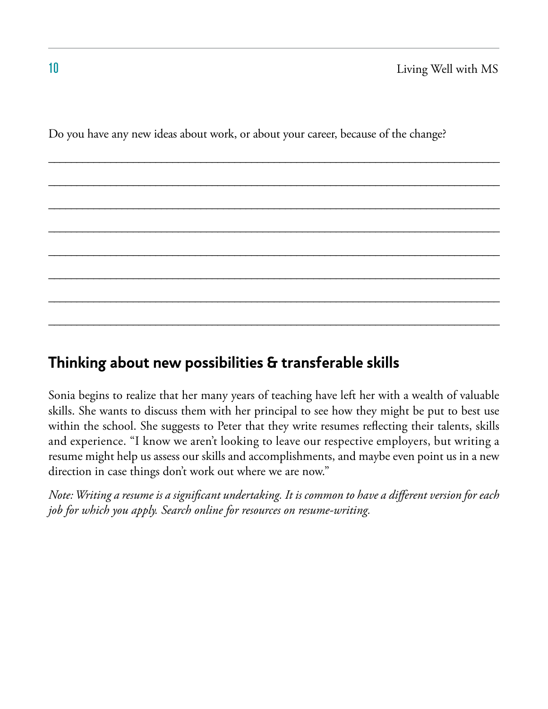Do you have any new ideas about work, or about your career, because of the change?

\_\_\_\_\_\_\_\_\_\_\_\_\_\_\_\_\_\_\_\_\_\_\_\_\_\_\_\_\_\_\_\_\_\_\_\_\_\_\_\_\_\_\_\_\_\_\_\_\_\_\_\_\_\_\_\_\_\_\_\_\_\_\_\_\_\_\_\_\_\_\_\_\_\_\_\_\_\_\_\_

\_\_\_\_\_\_\_\_\_\_\_\_\_\_\_\_\_\_\_\_\_\_\_\_\_\_\_\_\_\_\_\_\_\_\_\_\_\_\_\_\_\_\_\_\_\_\_\_\_\_\_\_\_\_\_\_\_\_\_\_\_\_\_\_\_\_\_\_\_\_\_\_\_\_\_\_\_\_\_\_

\_\_\_\_\_\_\_\_\_\_\_\_\_\_\_\_\_\_\_\_\_\_\_\_\_\_\_\_\_\_\_\_\_\_\_\_\_\_\_\_\_\_\_\_\_\_\_\_\_\_\_\_\_\_\_\_\_\_\_\_\_\_\_\_\_\_\_\_\_\_\_\_\_\_\_\_\_\_\_\_

\_\_\_\_\_\_\_\_\_\_\_\_\_\_\_\_\_\_\_\_\_\_\_\_\_\_\_\_\_\_\_\_\_\_\_\_\_\_\_\_\_\_\_\_\_\_\_\_\_\_\_\_\_\_\_\_\_\_\_\_\_\_\_\_\_\_\_\_\_\_\_\_\_\_\_\_\_\_\_\_

\_\_\_\_\_\_\_\_\_\_\_\_\_\_\_\_\_\_\_\_\_\_\_\_\_\_\_\_\_\_\_\_\_\_\_\_\_\_\_\_\_\_\_\_\_\_\_\_\_\_\_\_\_\_\_\_\_\_\_\_\_\_\_\_\_\_\_\_\_\_\_\_\_\_\_\_\_\_\_\_

\_\_\_\_\_\_\_\_\_\_\_\_\_\_\_\_\_\_\_\_\_\_\_\_\_\_\_\_\_\_\_\_\_\_\_\_\_\_\_\_\_\_\_\_\_\_\_\_\_\_\_\_\_\_\_\_\_\_\_\_\_\_\_\_\_\_\_\_\_\_\_\_\_\_\_\_\_\_\_\_

\_\_\_\_\_\_\_\_\_\_\_\_\_\_\_\_\_\_\_\_\_\_\_\_\_\_\_\_\_\_\_\_\_\_\_\_\_\_\_\_\_\_\_\_\_\_\_\_\_\_\_\_\_\_\_\_\_\_\_\_\_\_\_\_\_\_\_\_\_\_\_\_\_\_\_\_\_\_\_\_

\_\_\_\_\_\_\_\_\_\_\_\_\_\_\_\_\_\_\_\_\_\_\_\_\_\_\_\_\_\_\_\_\_\_\_\_\_\_\_\_\_\_\_\_\_\_\_\_\_\_\_\_\_\_\_\_\_\_\_\_\_\_\_\_\_\_\_\_\_\_\_\_\_\_\_\_\_\_\_\_

# **Thinking about new possibilities & transferable skills**

Sonia begins to realize that her many years of teaching have left her with a wealth of valuable skills. She wants to discuss them with her principal to see how they might be put to best use within the school. She suggests to Peter that they write resumes reflecting their talents, skills and experience. "I know we aren't looking to leave our respective employers, but writing a resume might help us assess our skills and accomplishments, and maybe even point us in a new direction in case things don't work out where we are now."

*Note: Writing a resume is a significant undertaking. It is common to have a different version for each job for which you apply. Search online for resources on resume-writing.*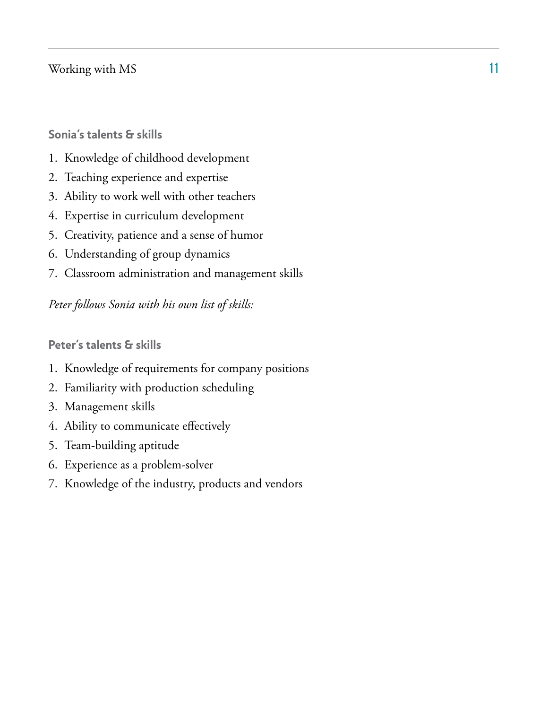#### Working with MS 11

**Sonia's talents & skills**

- 1. Knowledge of childhood development
- 2. Teaching experience and expertise
- 3. Ability to work well with other teachers
- 4. Expertise in curriculum development
- 5. Creativity, patience and a sense of humor
- 6. Understanding of group dynamics
- 7. Classroom administration and management skills

#### *Peter follows Sonia with his own list of skills:*

#### **Peter's talents & skills**

- 1. Knowledge of requirements for company positions
- 2. Familiarity with production scheduling
- 3. Management skills
- 4. Ability to communicate effectively
- 5. Team-building aptitude
- 6. Experience as a problem-solver
- 7. Knowledge of the industry, products and vendors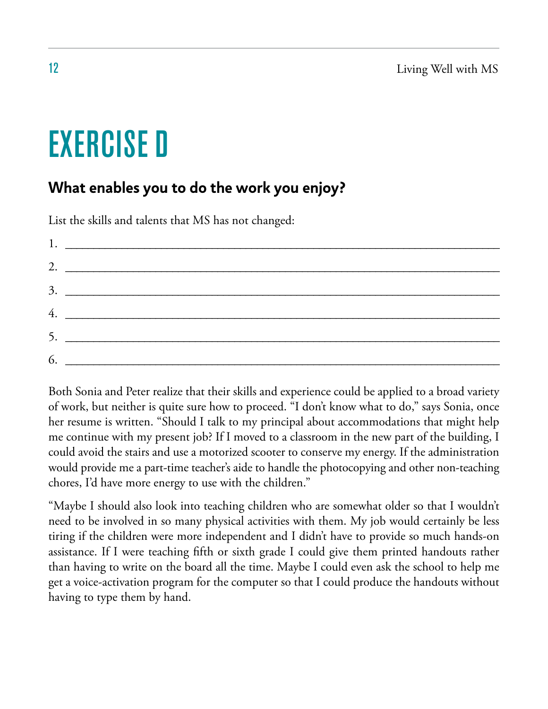# <span id="page-13-0"></span>Exercise D

# **What enables you to do the work you enjoy?**

List the skills and talents that MS has not changed:

| 2. $\overline{\phantom{a}}$ |  |
|-----------------------------|--|
|                             |  |
|                             |  |
|                             |  |
|                             |  |
|                             |  |

Both Sonia and Peter realize that their skills and experience could be applied to a broad variety of work, but neither is quite sure how to proceed. "I don't know what to do," says Sonia, once her resume is written. "Should I talk to my principal about accommodations that might help me continue with my present job? If I moved to a classroom in the new part of the building, I could avoid the stairs and use a motorized scooter to conserve my energy. If the administration would provide me a part-time teacher's aide to handle the photocopying and other non-teaching chores, I'd have more energy to use with the children."

"Maybe I should also look into teaching children who are somewhat older so that I wouldn't need to be involved in so many physical activities with them. My job would certainly be less tiring if the children were more independent and I didn't have to provide so much hands-on assistance. If I were teaching fifth or sixth grade I could give them printed handouts rather than having to write on the board all the time. Maybe I could even ask the school to help me get a voice-activation program for the computer so that I could produce the handouts without having to type them by hand.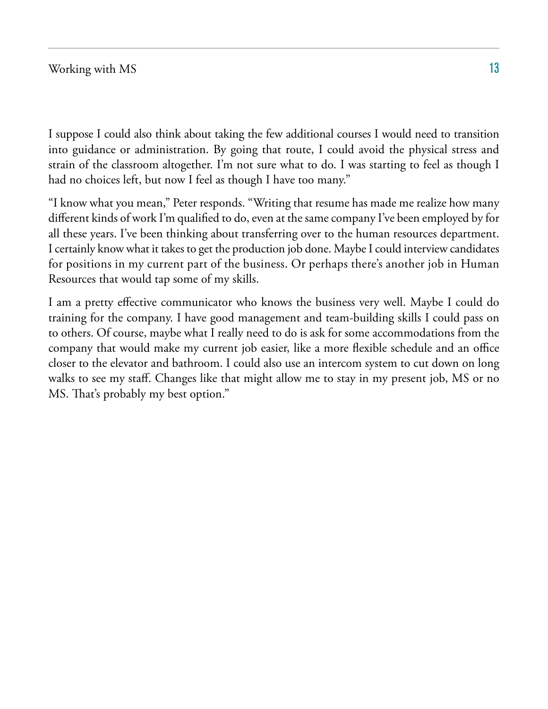I suppose I could also think about taking the few additional courses I would need to transition into guidance or administration. By going that route, I could avoid the physical stress and strain of the classroom altogether. I'm not sure what to do. I was starting to feel as though I had no choices left, but now I feel as though I have too many."

"I know what you mean," Peter responds. "Writing that resume has made me realize how many different kinds of work I'm qualified to do, even at the same company I've been employed by for all these years. I've been thinking about transferring over to the human resources department. I certainly know what it takes to get the production job done. Maybe I could interview candidates for positions in my current part of the business. Or perhaps there's another job in Human Resources that would tap some of my skills.

I am a pretty effective communicator who knows the business very well. Maybe I could do training for the company. I have good management and team-building skills I could pass on to others. Of course, maybe what I really need to do is ask for some accommodations from the company that would make my current job easier, like a more flexible schedule and an office closer to the elevator and bathroom. I could also use an intercom system to cut down on long walks to see my staff. Changes like that might allow me to stay in my present job, MS or no MS. That's probably my best option."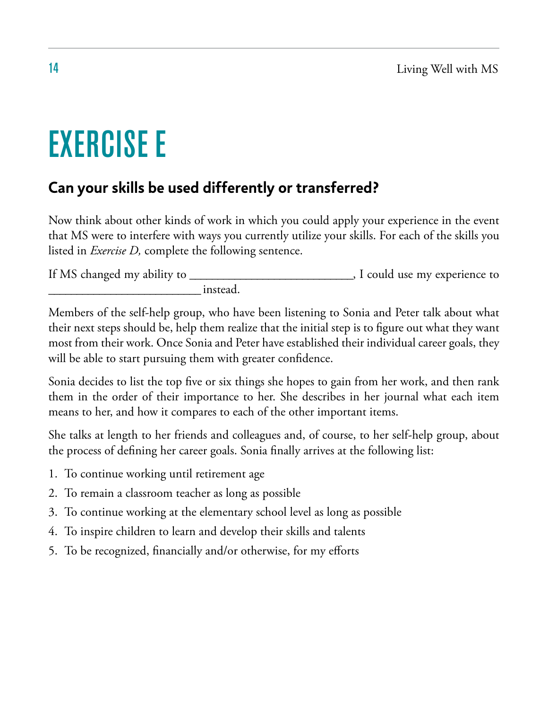# Exercise E

# **Can your skills be used differently or transferred?**

Now think about other kinds of work in which you could apply your experience in the event that MS were to interfere with ways you currently utilize your skills. For each of the skills you listed in *[Exercise D,](#page-13-0)* complete the following sentence.

If MS changed my ability to \_\_\_\_\_\_\_\_\_\_\_\_\_\_\_\_\_\_\_\_\_\_\_\_\_\_\_\_\_, I could use my experience to \_\_\_\_\_\_\_\_\_\_\_\_\_\_\_\_\_\_\_\_\_\_\_\_\_\_\_ instead.

Members of the self-help group, who have been listening to Sonia and Peter talk about what their next steps should be, help them realize that the initial step is to figure out what they want most from their work. Once Sonia and Peter have established their individual career goals, they will be able to start pursuing them with greater confidence.

Sonia decides to list the top five or six things she hopes to gain from her work, and then rank them in the order of their importance to her. She describes in her journal what each item means to her, and how it compares to each of the other important items.

She talks at length to her friends and colleagues and, of course, to her self-help group, about the process of defining her career goals. Sonia finally arrives at the following list:

- 1. To continue working until retirement age
- 2. To remain a classroom teacher as long as possible
- 3. To continue working at the elementary school level as long as possible
- 4. To inspire children to learn and develop their skills and talents
- 5. To be recognized, financially and/or otherwise, for my efforts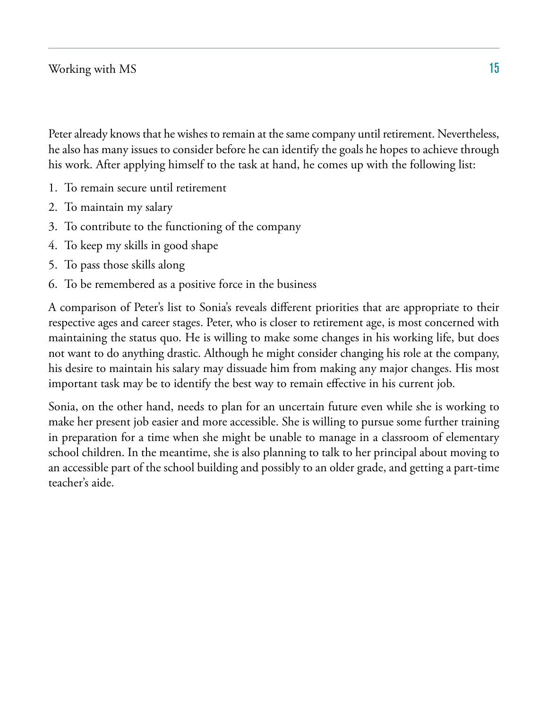Peter already knows that he wishes to remain at the same company until retirement. Nevertheless, he also has many issues to consider before he can identify the goals he hopes to achieve through his work. After applying himself to the task at hand, he comes up with the following list:

- 1. To remain secure until retirement
- 2. To maintain my salary
- 3. To contribute to the functioning of the company
- 4. To keep my skills in good shape
- 5. To pass those skills along
- 6. To be remembered as a positive force in the business

A comparison of Peter's list to Sonia's reveals different priorities that are appropriate to their respective ages and career stages. Peter, who is closer to retirement age, is most concerned with maintaining the status quo. He is willing to make some changes in his working life, but does not want to do anything drastic. Although he might consider changing his role at the company, his desire to maintain his salary may dissuade him from making any major changes. His most important task may be to identify the best way to remain effective in his current job.

Sonia, on the other hand, needs to plan for an uncertain future even while she is working to make her present job easier and more accessible. She is willing to pursue some further training in preparation for a time when she might be unable to manage in a classroom of elementary school children. In the meantime, she is also planning to talk to her principal about moving to an accessible part of the school building and possibly to an older grade, and getting a part-time teacher's aide.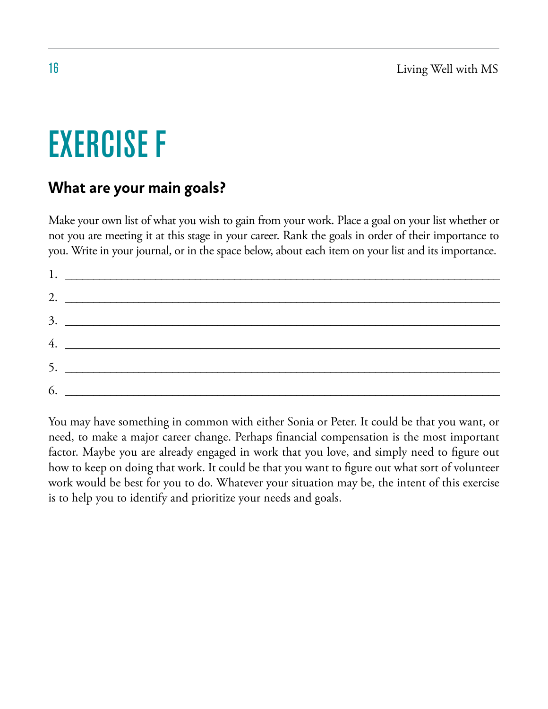# Exercise F

# **What are your main goals?**

Make your own list of what you wish to gain from your work. Place a goal on your list whether or not you are meeting it at this stage in your career. Rank the goals in order of their importance to you. Write in your journal, or in the space below, about each item on your list and its importance.

You may have something in common with either Sonia or Peter. It could be that you want, or need, to make a major career change. Perhaps financial compensation is the most important factor. Maybe you are already engaged in work that you love, and simply need to figure out how to keep on doing that work. It could be that you want to figure out what sort of volunteer work would be best for you to do. Whatever your situation may be, the intent of this exercise is to help you to identify and prioritize your needs and goals.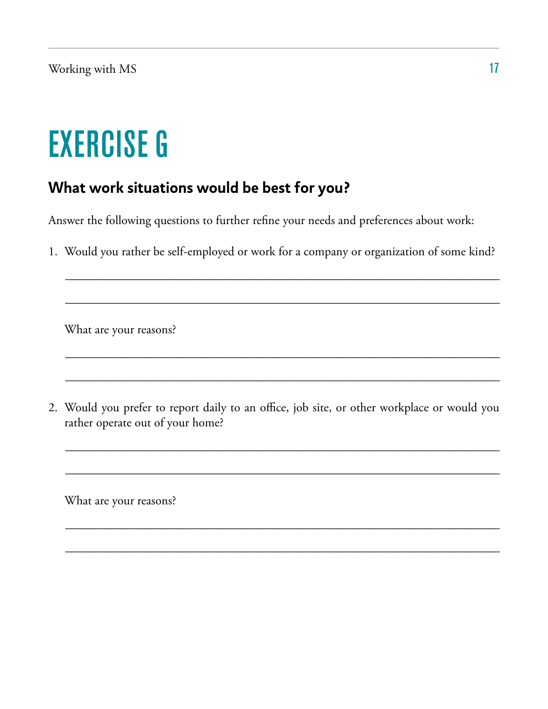# Exercise G

### **What work situations would be best for you?**

Answer the following questions to further refine your needs and preferences about work:

1. Would you rather be self-employed or work for a company or organization of some kind?

\_\_\_\_\_\_\_\_\_\_\_\_\_\_\_\_\_\_\_\_\_\_\_\_\_\_\_\_\_\_\_\_\_\_\_\_\_\_\_\_\_\_\_\_\_\_\_\_\_\_\_\_\_\_\_\_\_\_\_\_\_\_\_\_\_\_\_\_\_\_\_\_\_\_\_\_\_

\_\_\_\_\_\_\_\_\_\_\_\_\_\_\_\_\_\_\_\_\_\_\_\_\_\_\_\_\_\_\_\_\_\_\_\_\_\_\_\_\_\_\_\_\_\_\_\_\_\_\_\_\_\_\_\_\_\_\_\_\_\_\_\_\_\_\_\_\_\_\_\_\_\_\_\_\_

\_\_\_\_\_\_\_\_\_\_\_\_\_\_\_\_\_\_\_\_\_\_\_\_\_\_\_\_\_\_\_\_\_\_\_\_\_\_\_\_\_\_\_\_\_\_\_\_\_\_\_\_\_\_\_\_\_\_\_\_\_\_\_\_\_\_\_\_\_\_\_\_\_\_\_\_\_

\_\_\_\_\_\_\_\_\_\_\_\_\_\_\_\_\_\_\_\_\_\_\_\_\_\_\_\_\_\_\_\_\_\_\_\_\_\_\_\_\_\_\_\_\_\_\_\_\_\_\_\_\_\_\_\_\_\_\_\_\_\_\_\_\_\_\_\_\_\_\_\_\_\_\_\_\_

What are your reasons?

2. Would you prefer to report daily to an office, job site, or other workplace or would you rather operate out of your home?

\_\_\_\_\_\_\_\_\_\_\_\_\_\_\_\_\_\_\_\_\_\_\_\_\_\_\_\_\_\_\_\_\_\_\_\_\_\_\_\_\_\_\_\_\_\_\_\_\_\_\_\_\_\_\_\_\_\_\_\_\_\_\_\_\_\_\_\_\_\_\_\_\_\_\_\_\_

\_\_\_\_\_\_\_\_\_\_\_\_\_\_\_\_\_\_\_\_\_\_\_\_\_\_\_\_\_\_\_\_\_\_\_\_\_\_\_\_\_\_\_\_\_\_\_\_\_\_\_\_\_\_\_\_\_\_\_\_\_\_\_\_\_\_\_\_\_\_\_\_\_\_\_\_\_

\_\_\_\_\_\_\_\_\_\_\_\_\_\_\_\_\_\_\_\_\_\_\_\_\_\_\_\_\_\_\_\_\_\_\_\_\_\_\_\_\_\_\_\_\_\_\_\_\_\_\_\_\_\_\_\_\_\_\_\_\_\_\_\_\_\_\_\_\_\_\_\_\_\_\_\_\_

\_\_\_\_\_\_\_\_\_\_\_\_\_\_\_\_\_\_\_\_\_\_\_\_\_\_\_\_\_\_\_\_\_\_\_\_\_\_\_\_\_\_\_\_\_\_\_\_\_\_\_\_\_\_\_\_\_\_\_\_\_\_\_\_\_\_\_\_\_\_\_\_\_\_\_\_\_

What are your reasons?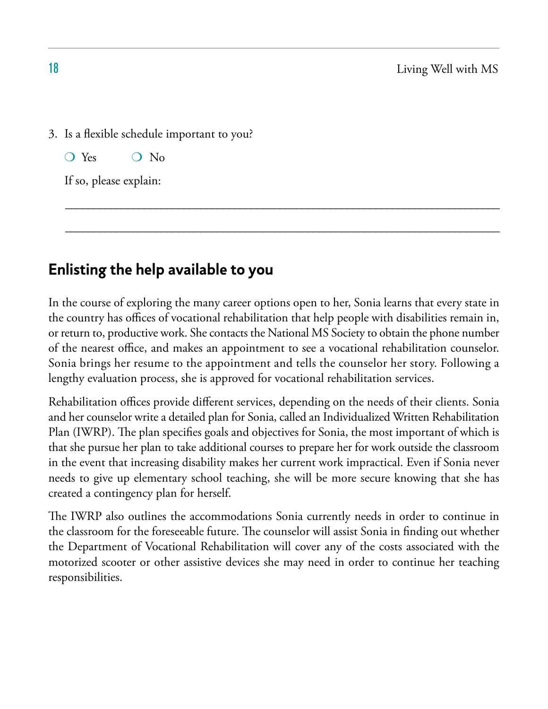3. Is a flexible schedule important to you?

 $\bigcirc$  Yes  $\bigcirc$  No

If so, please explain:

### **Enlisting the help available to you**

In the course of exploring the many career options open to her, Sonia learns that every state in the country has offices of vocational rehabilitation that help people with disabilities remain in, or return to, productive work. She contacts the National MS Society to obtain the phone number of the nearest office, and makes an appointment to see a vocational rehabilitation counselor. Sonia brings her resume to the appointment and tells the counselor her story. Following a lengthy evaluation process, she is approved for vocational rehabilitation services.

\_\_\_\_\_\_\_\_\_\_\_\_\_\_\_\_\_\_\_\_\_\_\_\_\_\_\_\_\_\_\_\_\_\_\_\_\_\_\_\_\_\_\_\_\_\_\_\_\_\_\_\_\_\_\_\_\_\_\_\_\_\_\_\_\_\_\_\_\_\_\_\_\_\_\_\_\_

\_\_\_\_\_\_\_\_\_\_\_\_\_\_\_\_\_\_\_\_\_\_\_\_\_\_\_\_\_\_\_\_\_\_\_\_\_\_\_\_\_\_\_\_\_\_\_\_\_\_\_\_\_\_\_\_\_\_\_\_\_\_\_\_\_\_\_\_\_\_\_\_\_\_\_\_\_

Rehabilitation offices provide different services, depending on the needs of their clients. Sonia and her counselor write a detailed plan for Sonia, called an Individualized Written Rehabilitation Plan (IWRP). The plan specifies goals and objectives for Sonia, the most important of which is that she pursue her plan to take additional courses to prepare her for work outside the classroom in the event that increasing disability makes her current work impractical. Even if Sonia never needs to give up elementary school teaching, she will be more secure knowing that she has created a contingency plan for herself.

The IWRP also outlines the accommodations Sonia currently needs in order to continue in the classroom for the foreseeable future. The counselor will assist Sonia in finding out whether the Department of Vocational Rehabilitation will cover any of the costs associated with the motorized scooter or other assistive devices she may need in order to continue her teaching responsibilities.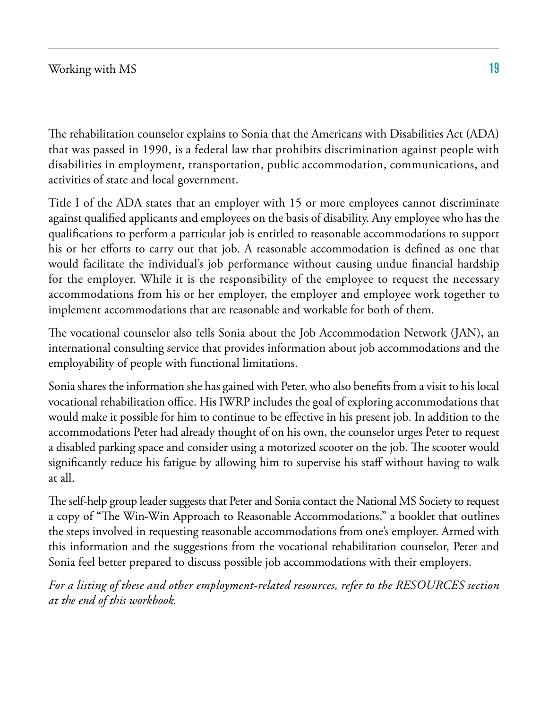#### Working with MS 19

The rehabilitation counselor explains to Sonia that the Americans with Disabilities Act (ADA) that was passed in 1990, is a federal law that prohibits discrimination against people with disabilities in employment, transportation, public accommodation, communications, and activities of state and local government.

Title I of the ADA states that an employer with 15 or more employees cannot discriminate against qualified applicants and employees on the basis of disability. Any employee who has the qualifications to perform a particular job is entitled to reasonable accommodations to support his or her efforts to carry out that job. A reasonable accommodation is defined as one that would facilitate the individual's job performance without causing undue financial hardship for the employer. While it is the responsibility of the employee to request the necessary accommodations from his or her employer, the employer and employee work together to implement accommodations that are reasonable and workable for both of them.

The vocational counselor also tells Sonia about the Job Accommodation Network (JAN), an international consulting service that provides information about job accommodations and the employability of people with functional limitations.

Sonia shares the information she has gained with Peter, who also benefits from a visit to his local vocational rehabilitation office. His IWRP includes the goal of exploring accommodations that would make it possible for him to continue to be effective in his present job. In addition to the accommodations Peter had already thought of on his own, the counselor urges Peter to request a disabled parking space and consider using a motorized scooter on the job. The scooter would significantly reduce his fatigue by allowing him to supervise his staff without having to walk at all.

The self-help group leader suggests that Peter and Sonia contact the National MS Society to request a copy of "The Win-Win Approach to Reasonable Accommodations," a booklet that outlines the steps involved in requesting reasonable accommodations from one's employer. Armed with this information and the suggestions from the vocational rehabilitation counselor, Peter and Sonia feel better prepared to discuss possible job accommodations with their employers.

*For a listing of these and other employment-related resources, refer to the RESOURCES section at the end of this workbook.*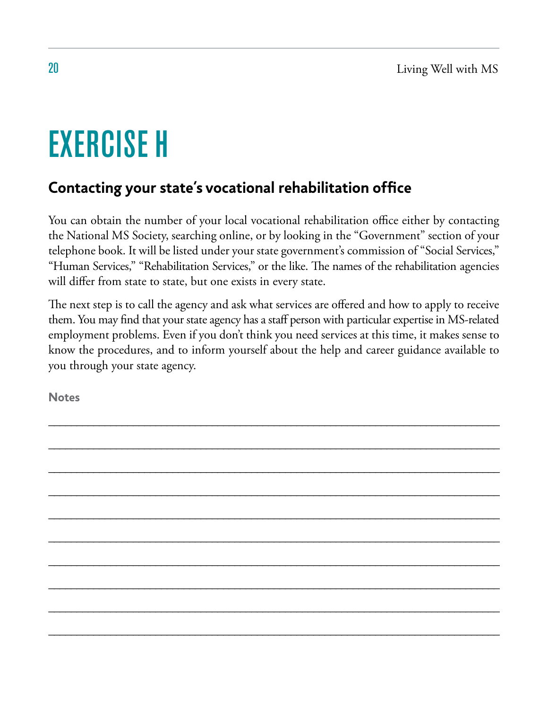# Exercise H

### **Contacting your state's vocational rehabilitation office**

You can obtain the number of your local vocational rehabilitation office either by contacting the National MS Society, searching online, or by looking in the "Government" section of your telephone book. It will be listed under your state government's commission of "Social Services," "Human Services," "Rehabilitation Services," or the like. The names of the rehabilitation agencies will differ from state to state, but one exists in every state.

The next step is to call the agency and ask what services are offered and how to apply to receive them. You may find that your state agency has a staff person with particular expertise in MS-related employment problems. Even if you don't think you need services at this time, it makes sense to know the procedures, and to inform yourself about the help and career guidance available to you through your state agency.

**Notes**

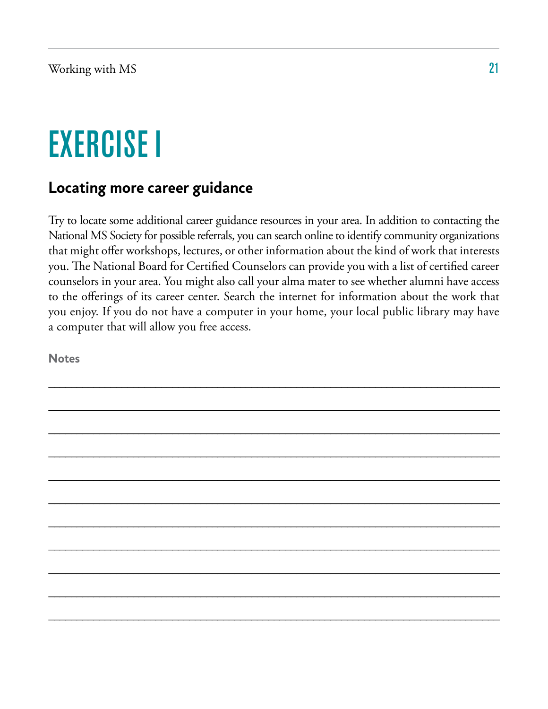# Exercise I

### **Locating more career guidance**

Try to locate some additional career guidance resources in your area. In addition to contacting the National MS Society for possible referrals, you can search online to identify community organizations that might offer workshops, lectures, or other information about the kind of work that interests you. The National Board for Certified Counselors can provide you with a list of certified career counselors in your area. You might also call your alma mater to see whether alumni have access to the offerings of its career center. Search the internet for information about the work that you enjoy. If you do not have a computer in your home, your local public library may have a computer that will allow you free access.

**Notes**

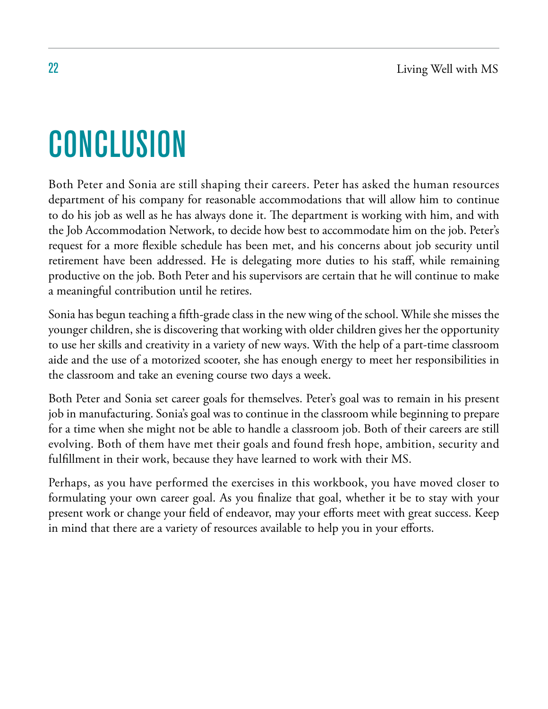# Conclusion

Both Peter and Sonia are still shaping their careers. Peter has asked the human resources department of his company for reasonable accommodations that will allow him to continue to do his job as well as he has always done it. The department is working with him, and with the Job Accommodation Network, to decide how best to accommodate him on the job. Peter's request for a more flexible schedule has been met, and his concerns about job security until retirement have been addressed. He is delegating more duties to his staff, while remaining productive on the job. Both Peter and his supervisors are certain that he will continue to make a meaningful contribution until he retires.

Sonia has begun teaching a fifth-grade class in the new wing of the school. While she misses the younger children, she is discovering that working with older children gives her the opportunity to use her skills and creativity in a variety of new ways. With the help of a part-time classroom aide and the use of a motorized scooter, she has enough energy to meet her responsibilities in the classroom and take an evening course two days a week.

Both Peter and Sonia set career goals for themselves. Peter's goal was to remain in his present job in manufacturing. Sonia's goal was to continue in the classroom while beginning to prepare for a time when she might not be able to handle a classroom job. Both of their careers are still evolving. Both of them have met their goals and found fresh hope, ambition, security and fulfillment in their work, because they have learned to work with their MS.

Perhaps, as you have performed the exercises in this workbook, you have moved closer to formulating your own career goal. As you finalize that goal, whether it be to stay with your present work or change your field of endeavor, may your efforts meet with great success. Keep in mind that there are a variety of resources available to help you in your efforts.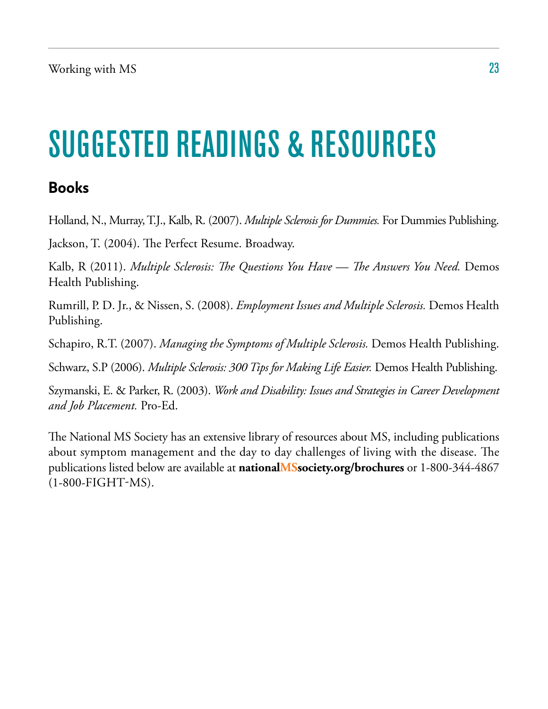# Suggested Readings & Resources

### **Books**

Holland, N., Murray, T.J., Kalb, R. (2007). *Multiple Sclerosis for Dummies.* For Dummies Publishing.

Jackson, T. (2004). The Perfect Resume. Broadway.

Kalb, R (2011). *Multiple Sclerosis: The Questions You Have — The Answers You Need.* Demos Health Publishing.

Rumrill, P. D. Jr., & Nissen, S. (2008). *Employment Issues and Multiple Sclerosis.* Demos Health Publishing.

Schapiro, R.T. (2007). *Managing the Symptoms of Multiple Sclerosis.* Demos Health Publishing.

Schwarz, S.P (2006). *Multiple Sclerosis: 300 Tips for Making Life Easier.* Demos Health Publishing.

Szymanski, E. & Parker, R. (2003). *Work and Disability: Issues and Strategies in Career Development and Job Placement.* Pro-Ed.

The National MS Society has an extensive library of resources about MS, including publications about symptom management and the day to day challenges of living with the disease. The publications listed below are available at **[nationalMSsociety.org/brochures](http://www.nationalmssociety.org/multimedia-library/brochures/index.aspx)** or 1-800-344-4867  $(1-800-FIGHT-MS)$ .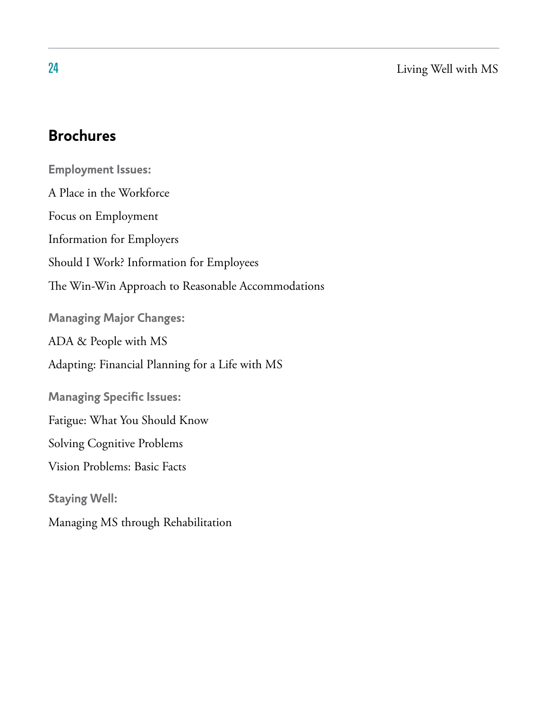24 Living Well with MS

### **Brochures**

**Employment Issues:** A Place in the Workforce Focus on Employment Information for Employers Should I Work? Information for Employees The Win-Win Approach to Reasonable Accommodations **Managing Major Changes:** ADA & People with MS Adapting: Financial Planning for a Life with MS **Managing Specific Issues:** Fatigue: What You Should Know Solving Cognitive Problems Vision Problems: Basic Facts **Staying Well:** Managing MS through Rehabilitation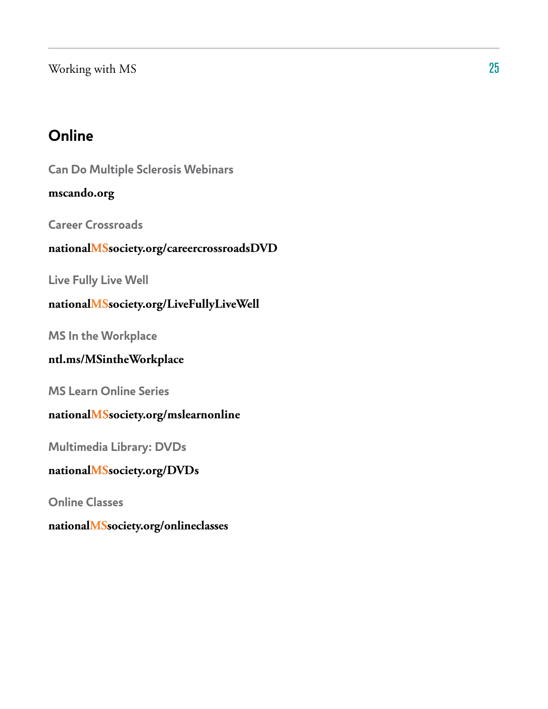Working with MS 25

### **Online**

**Can Do Multiple Sclerosis Webinars**

#### **[mscando.org](http://www.mscando.org)**

**Career Crossroads**

### **[nationalMSsociety.org/careercrossroadsDVD](http://nationalmssociety.org/multimedia-library/videos--dvds/career-crossroads/index.aspx)**

**Live Fully Live Well**

### **[nationalMSsociety.org/LiveFullyLiveWell](http://nationalmssociety.org/living-with-multiple-sclerosis/live-fully-live-well/index.aspx)**

**MS In the Workplace**

#### **[ntl.ms/MSintheWorkplace](http://www.youtube.com/watch?v=4-HzZqPLAdI&feature=youtu.be)**

**MS Learn Online Series**

#### **[nationalmssociety.org/mslearnonline](http://www.nationalmssociety.org/multimedia-library/ms-learn-online/index.aspx)**

**Multimedia Library: DVDs**

#### **[nationalMSsociety.org/DVDs](http://nationalmssociety.org/multimedia-library/videos--dvds/index.aspx)**

**Online Classes**

#### **[nationalMSsociety.org/onlineclasses](http://nationalmssociety.org/living-with-multiple-sclerosis/society-programs-and-services/online-classes/index.aspx/onlineclasses)**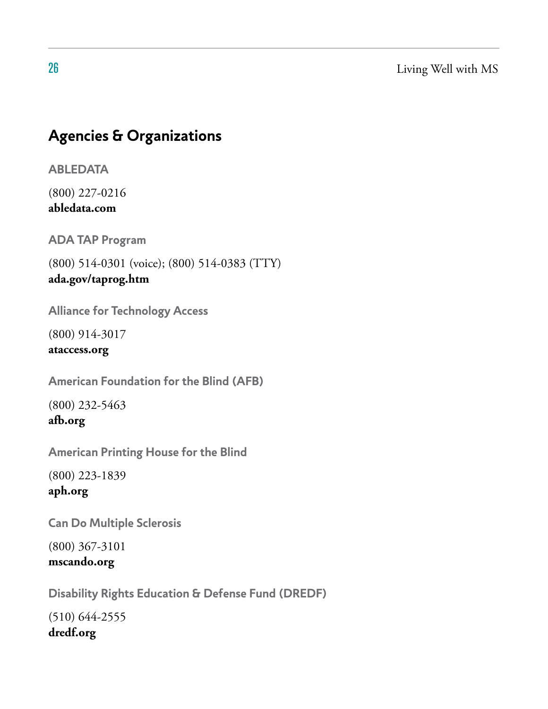# **Agencies & Organizations**

**ABLEDATA**

(800) 227-0216 **[abledata.com](http://abledata.com)** 

**ADA TAP Program**

(800) 514-0301 (voice); (800) 514-0383 (TTY) **[ada.gov/taprog.htm](http://www.ada.gov/taprog.htm)** 

**Alliance for Technology Access** 

(800) 914-3017

#### **[ataccess.org](http://ataccess.org)**

**American Foundation for the Blind (AFB)** 

(800) 232-5463 **[afb.org](http://www.afb.org/default.aspx)**

**American Printing House for the Blind** 

(800) 223-1839 **[aph.org](http://www.aph.org)**

**Can Do Multiple Sclerosis**

(800) 367-3101 **[mscando.org](http://www.mscando.org)** 

**Disability Rights Education & Defense Fund (DREDF)** 

(510) 644-2555 **[dredf.org](http://dredf.org)**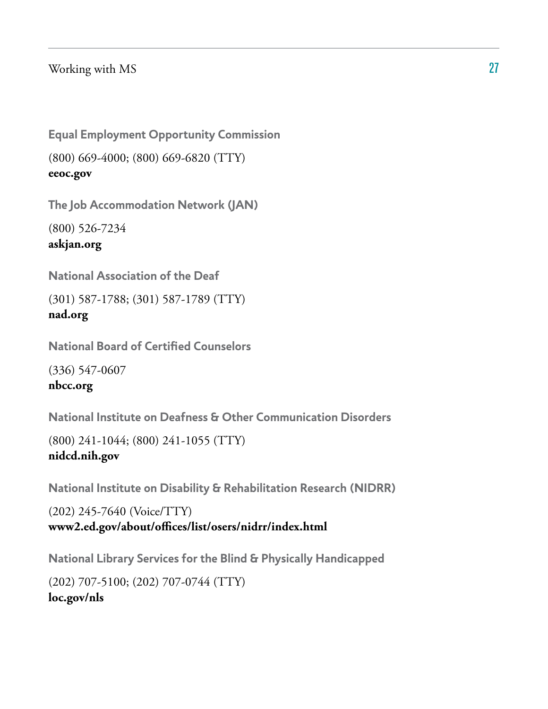#### Working with MS 27

**Equal Employment Opportunity Commission**  (800) 669-4000; (800) 669-6820 (TTY) **[eeoc.gov](http://eeoc.gov)**

**The Job Accommodation Network (JAN)**

(800) 526-7234 **[askjan.org](http://askjan.org)**

**National Association of the Deaf** 

(301) 587-1788; (301) 587-1789 (TTY) **[nad.org](http://nad.org)**

**National Board of Certified Counselors**

(336) 547-0607 **[nbcc.org](http://nbcc.org)**

**National Institute on Deafness & Other Communication Disorders**

(800) 241-1044; (800) 241-1055 (TTY) **[nidcd.nih.gov](http://www.nidcd.nih.gov/Pages/default.aspx)**

**National Institute on Disability & Rehabilitation Research (NIDRR)** 

(202) 245-7640 (Voice/TTY) **[www2.ed.gov/about/offices/list/osers/nidrr/index.html](http://www2.ed.gov/about/offices/list/osers/nidrr/index.html)** 

**National Library Services for the Blind & Physically Handicapped**

(202) 707-5100; (202) 707-0744 (TTY) **[loc.gov/nls](http://www.loc.gov/nls/)**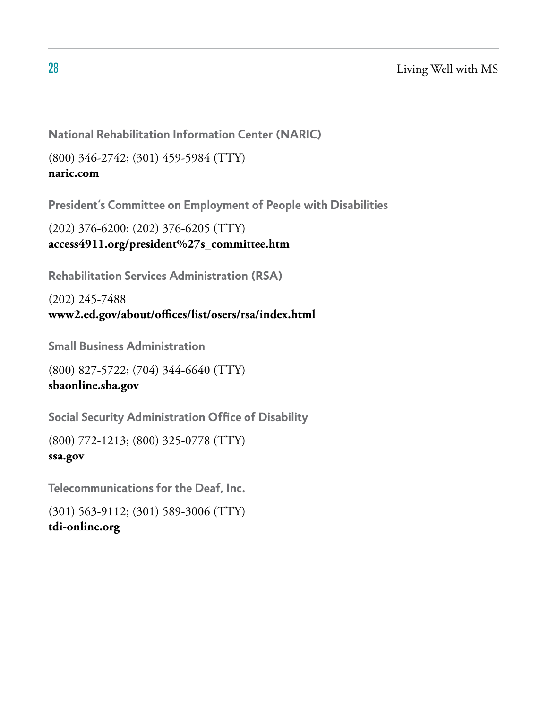**National Rehabilitation Information Center (NARIC)** 

(800) 346-2742; (301) 459-5984 (TTY) **[naric.com](http://naric.com)**

**President's Committee on Employment of People with Disabilities**

(202) 376-6200; (202) 376-6205 (TTY) **[access4911.org/president%27s\\_committee.htm](http://access4911.org/president%27s_committee.htm)** 

**Rehabilitation Services Administration (RSA)** 

(202) 245-7488 **[www2.ed.gov/about/offices/list/osers/rsa/index.html](http://www2.ed.gov/about/offices/list/osers/rsa/index.html)** 

**Small Business Administration**

(800) 827-5722; (704) 344-6640 (TTY) **[sbaonline.sba.gov](http://www.sba.gov)**

**Social Security Administration Office of Disability** 

(800) 772-1213; (800) 325-0778 (TTY) **[ssa.gov](http://ssa.gov)**

**Telecommunications for the Deaf, Inc.** 

(301) 563-9112; (301) 589-3006 (TTY) **[tdi-online.org](http://tdi-online.org)**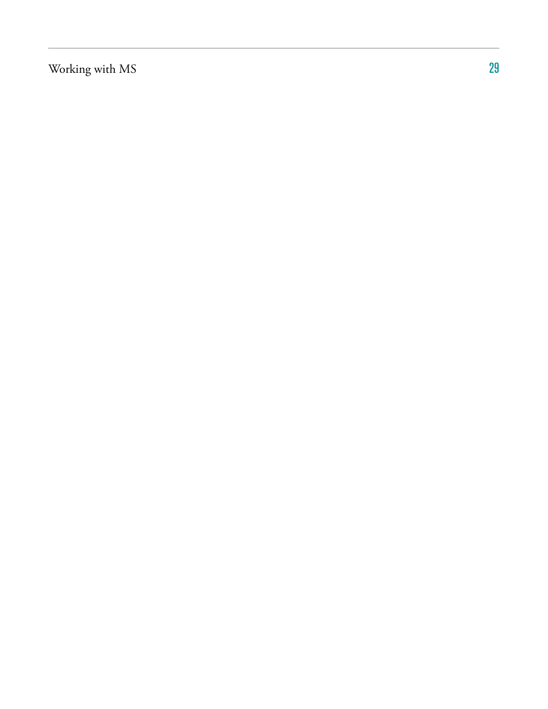Working with MS 29